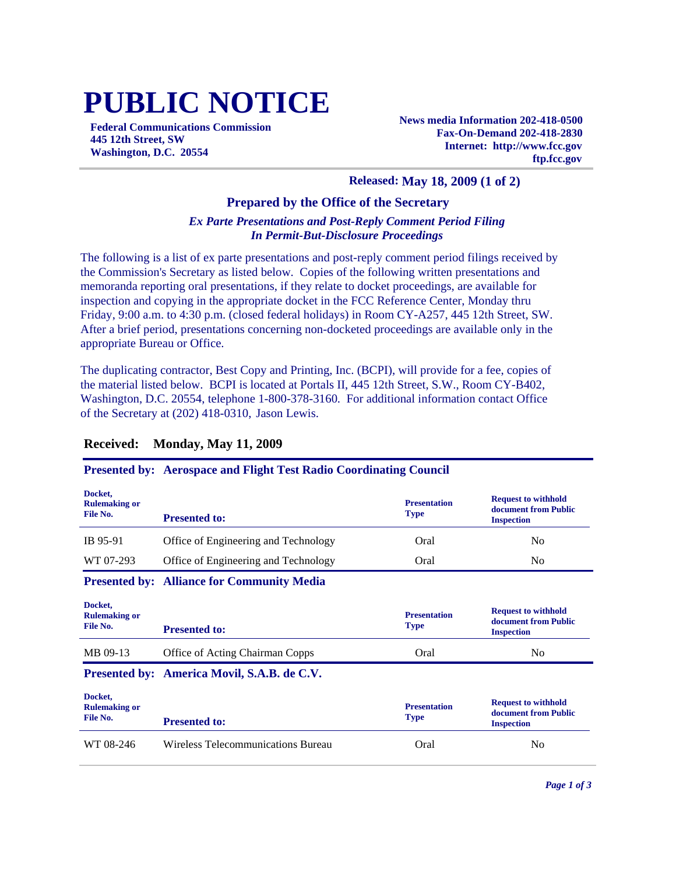# **PUBLIC NOTICE**

**Federal Communications Commission 445 12th Street, SW Washington, D.C. 20554**

**News media Information 202-418-0500 Fax-On-Demand 202-418-2830 Internet: http://www.fcc.gov ftp.fcc.gov**

### **Released: May 18, 2009 (1 of 2)**

### **Prepared by the Office of the Secretary**

## *Ex Parte Presentations and Post-Reply Comment Period Filing In Permit-But-Disclosure Proceedings*

The following is a list of ex parte presentations and post-reply comment period filings received by the Commission's Secretary as listed below. Copies of the following written presentations and memoranda reporting oral presentations, if they relate to docket proceedings, are available for inspection and copying in the appropriate docket in the FCC Reference Center, Monday thru Friday, 9:00 a.m. to 4:30 p.m. (closed federal holidays) in Room CY-A257, 445 12th Street, SW. After a brief period, presentations concerning non-docketed proceedings are available only in the appropriate Bureau or Office.

The duplicating contractor, Best Copy and Printing, Inc. (BCPI), will provide for a fee, copies of the material listed below. BCPI is located at Portals II, 445 12th Street, S.W., Room CY-B402, Washington, D.C. 20554, telephone 1-800-378-3160. For additional information contact Office of the Secretary at (202) 418-0310, Jason Lewis.

#### **Presented by: Aerospace and Flight Test Radio Coordinating Council Docket, Rulemaking or File No. Presentation Type Request to withhold document from Public Presented to: Inspection Inspection Inspection** IB 95-91 Office of Engineering and Technology Oral No WT 07-293 Office of Engineering and Technology Coral Oral No **Presented by: Alliance for Community Media Docket, Rulemaking or File No. Presentation Type Request to withhold document from Public Presented to: Inspection** MB 09-13 Office of Acting Chairman Copps Cral No Oral No **Presented by: America Movil, S.A.B. de C.V. Docket, Rulemaking or File No. Presentation Type Request to withhold document from Public Presented to: If the second is a second inspection** WT 08-246 Wireless Telecommunications Bureau Cral Oral No

# **Received: Monday, May 11, 2009**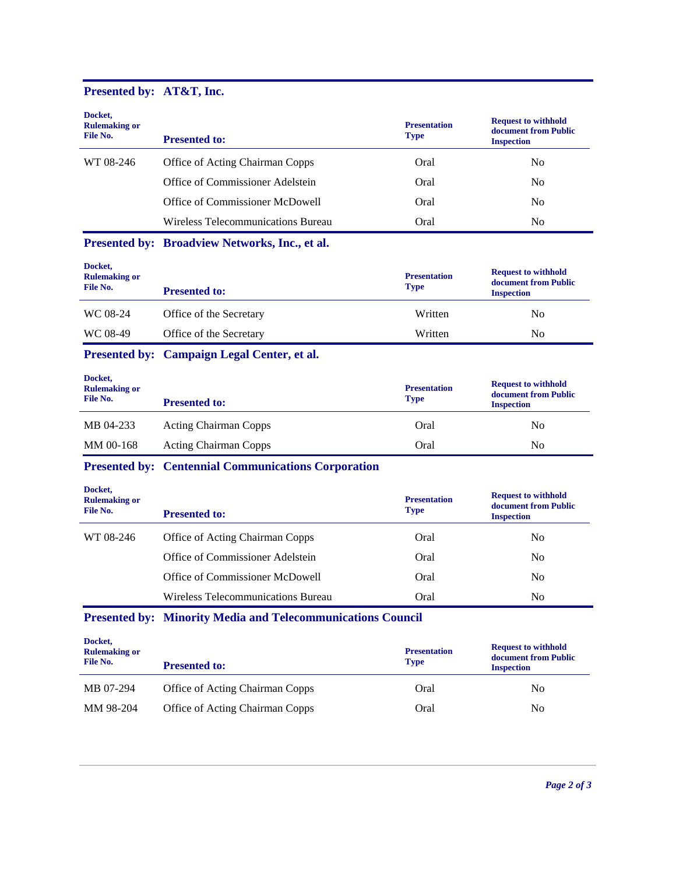# **Presented by: AT&T, Inc.**

| Docket,<br><b>Rulemaking or</b><br>File No. | <b>Presented to:</b>                                               | <b>Presentation</b><br><b>Type</b> | <b>Request to withhold</b><br>document from Public<br><b>Inspection</b> |
|---------------------------------------------|--------------------------------------------------------------------|------------------------------------|-------------------------------------------------------------------------|
| WT 08-246                                   | Office of Acting Chairman Copps                                    | Oral                               | N <sub>0</sub>                                                          |
|                                             | Office of Commissioner Adelstein                                   | Oral                               | N <sub>0</sub>                                                          |
|                                             | Office of Commissioner McDowell                                    | Oral                               | N <sub>0</sub>                                                          |
|                                             | Wireless Telecommunications Bureau                                 | Oral                               | N <sub>0</sub>                                                          |
|                                             | Presented by: Broadview Networks, Inc., et al.                     |                                    |                                                                         |
| Docket,<br><b>Rulemaking or</b><br>File No. | <b>Presented to:</b>                                               | <b>Presentation</b><br><b>Type</b> | <b>Request to withhold</b><br>document from Public<br><b>Inspection</b> |
| WC 08-24                                    | Office of the Secretary                                            | Written                            | N <sub>0</sub>                                                          |
| WC 08-49                                    | Office of the Secretary                                            | Written                            | N <sub>0</sub>                                                          |
|                                             | Presented by: Campaign Legal Center, et al.                        |                                    |                                                                         |
| Docket,<br><b>Rulemaking or</b><br>File No. | <b>Presented to:</b>                                               | <b>Presentation</b><br><b>Type</b> | <b>Request to withhold</b><br>document from Public<br><b>Inspection</b> |
| MB 04-233                                   | <b>Acting Chairman Copps</b>                                       | Oral                               | N <sub>0</sub>                                                          |
| MM 00-168                                   | <b>Acting Chairman Copps</b>                                       | Oral                               | N <sub>0</sub>                                                          |
|                                             | <b>Presented by: Centennial Communications Corporation</b>         |                                    |                                                                         |
| Docket,<br><b>Rulemaking or</b><br>File No. | <b>Presented to:</b>                                               | <b>Presentation</b><br><b>Type</b> | <b>Request to withhold</b><br>document from Public<br><b>Inspection</b> |
| WT 08-246                                   | Office of Acting Chairman Copps                                    | Oral                               | N <sub>0</sub>                                                          |
|                                             | Office of Commissioner Adelstein                                   | Oral                               | N <sub>0</sub>                                                          |
|                                             | Office of Commissioner McDowell                                    | Oral                               | N <sub>0</sub>                                                          |
|                                             | Wireless Telecommunications Bureau                                 | Oral                               | N <sub>0</sub>                                                          |
|                                             | <b>Presented by: Minority Media and Telecommunications Council</b> |                                    |                                                                         |
| Docket,<br><b>Rulemaking or</b><br>File No. | <b>Presented to:</b>                                               | <b>Presentation</b><br><b>Type</b> | <b>Request to withhold</b><br>document from Public<br><b>Inspection</b> |
| MB 07-294                                   | Office of Acting Chairman Copps                                    | Oral                               | No                                                                      |
| MM 98-204                                   | Office of Acting Chairman Copps                                    | Oral                               | N <sub>o</sub>                                                          |